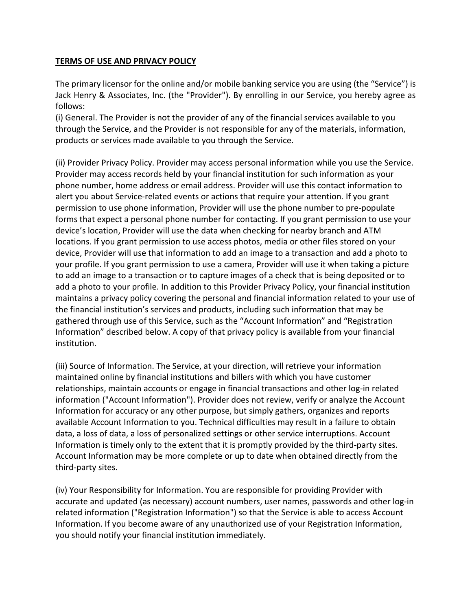## TERMS OF USE AND PRIVACY POLICY

The primary licensor for the online and/or mobile banking service you are using (the "Service") is Jack Henry & Associates, Inc. (the "Provider"). By enrolling in our Service, you hereby agree as follows:

(i) General. The Provider is not the provider of any of the financial services available to you through the Service, and the Provider is not responsible for any of the materials, information, products or services made available to you through the Service.

(ii) Provider Privacy Policy. Provider may access personal information while you use the Service. Provider may access records held by your financial institution for such information as your phone number, home address or email address. Provider will use this contact information to alert you about Service-related events or actions that require your attention. If you grant permission to use phone information, Provider will use the phone number to pre-populate forms that expect a personal phone number for contacting. If you grant permission to use your device's location, Provider will use the data when checking for nearby branch and ATM locations. If you grant permission to use access photos, media or other files stored on your device, Provider will use that information to add an image to a transaction and add a photo to your profile. If you grant permission to use a camera, Provider will use it when taking a picture to add an image to a transaction or to capture images of a check that is being deposited or to add a photo to your profile. In addition to this Provider Privacy Policy, your financial institution maintains a privacy policy covering the personal and financial information related to your use of the financial institution's services and products, including such information that may be gathered through use of this Service, such as the "Account Information" and "Registration Information" described below. A copy of that privacy policy is available from your financial institution.

(iii) Source of Information. The Service, at your direction, will retrieve your information maintained online by financial institutions and billers with which you have customer relationships, maintain accounts or engage in financial transactions and other log-in related information ("Account Information"). Provider does not review, verify or analyze the Account Information for accuracy or any other purpose, but simply gathers, organizes and reports available Account Information to you. Technical difficulties may result in a failure to obtain data, a loss of data, a loss of personalized settings or other service interruptions. Account Information is timely only to the extent that it is promptly provided by the third-party sites. Account Information may be more complete or up to date when obtained directly from the third-party sites.

(iv) Your Responsibility for Information. You are responsible for providing Provider with accurate and updated (as necessary) account numbers, user names, passwords and other log-in related information ("Registration Information") so that the Service is able to access Account Information. If you become aware of any unauthorized use of your Registration Information, you should notify your financial institution immediately.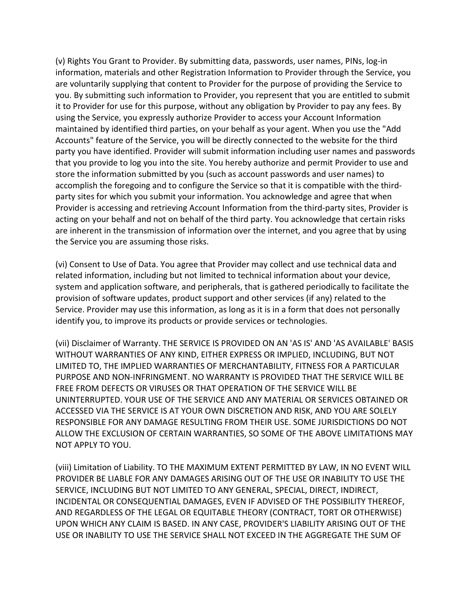(v) Rights You Grant to Provider. By submitting data, passwords, user names, PINs, log-in information, materials and other Registration Information to Provider through the Service, you are voluntarily supplying that content to Provider for the purpose of providing the Service to you. By submitting such information to Provider, you represent that you are entitled to submit it to Provider for use for this purpose, without any obligation by Provider to pay any fees. By using the Service, you expressly authorize Provider to access your Account Information maintained by identified third parties, on your behalf as your agent. When you use the "Add Accounts" feature of the Service, you will be directly connected to the website for the third party you have identified. Provider will submit information including user names and passwords that you provide to log you into the site. You hereby authorize and permit Provider to use and store the information submitted by you (such as account passwords and user names) to accomplish the foregoing and to configure the Service so that it is compatible with the thirdparty sites for which you submit your information. You acknowledge and agree that when Provider is accessing and retrieving Account Information from the third-party sites, Provider is acting on your behalf and not on behalf of the third party. You acknowledge that certain risks are inherent in the transmission of information over the internet, and you agree that by using the Service you are assuming those risks.

(vi) Consent to Use of Data. You agree that Provider may collect and use technical data and related information, including but not limited to technical information about your device, system and application software, and peripherals, that is gathered periodically to facilitate the provision of software updates, product support and other services (if any) related to the Service. Provider may use this information, as long as it is in a form that does not personally identify you, to improve its products or provide services or technologies.

(vii) Disclaimer of Warranty. THE SERVICE IS PROVIDED ON AN 'AS IS' AND 'AS AVAILABLE' BASIS WITHOUT WARRANTIES OF ANY KIND, EITHER EXPRESS OR IMPLIED, INCLUDING, BUT NOT LIMITED TO, THE IMPLIED WARRANTIES OF MERCHANTABILITY, FITNESS FOR A PARTICULAR PURPOSE AND NON-INFRINGMENT. NO WARRANTY IS PROVIDED THAT THE SERVICE WILL BE FREE FROM DEFECTS OR VIRUSES OR THAT OPERATION OF THE SERVICE WILL BE UNINTERRUPTED. YOUR USE OF THE SERVICE AND ANY MATERIAL OR SERVICES OBTAINED OR ACCESSED VIA THE SERVICE IS AT YOUR OWN DISCRETION AND RISK, AND YOU ARE SOLELY RESPONSIBLE FOR ANY DAMAGE RESULTING FROM THEIR USE. SOME JURISDICTIONS DO NOT ALLOW THE EXCLUSION OF CERTAIN WARRANTIES, SO SOME OF THE ABOVE LIMITATIONS MAY NOT APPLY TO YOU.

(viii) Limitation of Liability. TO THE MAXIMUM EXTENT PERMITTED BY LAW, IN NO EVENT WILL PROVIDER BE LIABLE FOR ANY DAMAGES ARISING OUT OF THE USE OR INABILITY TO USE THE SERVICE, INCLUDING BUT NOT LIMITED TO ANY GENERAL, SPECIAL, DIRECT, INDIRECT, INCIDENTAL OR CONSEQUENTIAL DAMAGES, EVEN IF ADVISED OF THE POSSIBILITY THEREOF, AND REGARDLESS OF THE LEGAL OR EQUITABLE THEORY (CONTRACT, TORT OR OTHERWISE) UPON WHICH ANY CLAIM IS BASED. IN ANY CASE, PROVIDER'S LIABILITY ARISING OUT OF THE USE OR INABILITY TO USE THE SERVICE SHALL NOT EXCEED IN THE AGGREGATE THE SUM OF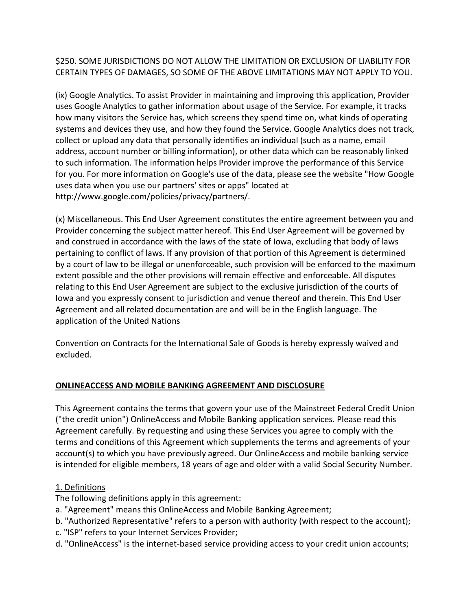\$250. SOME JURISDICTIONS DO NOT ALLOW THE LIMITATION OR EXCLUSION OF LIABILITY FOR CERTAIN TYPES OF DAMAGES, SO SOME OF THE ABOVE LIMITATIONS MAY NOT APPLY TO YOU.

(ix) Google Analytics. To assist Provider in maintaining and improving this application, Provider uses Google Analytics to gather information about usage of the Service. For example, it tracks how many visitors the Service has, which screens they spend time on, what kinds of operating systems and devices they use, and how they found the Service. Google Analytics does not track, collect or upload any data that personally identifies an individual (such as a name, email address, account number or billing information), or other data which can be reasonably linked to such information. The information helps Provider improve the performance of this Service for you. For more information on Google's use of the data, please see the website "How Google uses data when you use our partners' sites or apps" located at http://www.google.com/policies/privacy/partners/.

(x) Miscellaneous. This End User Agreement constitutes the entire agreement between you and Provider concerning the subject matter hereof. This End User Agreement will be governed by and construed in accordance with the laws of the state of Iowa, excluding that body of laws pertaining to conflict of laws. If any provision of that portion of this Agreement is determined by a court of law to be illegal or unenforceable, such provision will be enforced to the maximum extent possible and the other provisions will remain effective and enforceable. All disputes relating to this End User Agreement are subject to the exclusive jurisdiction of the courts of Iowa and you expressly consent to jurisdiction and venue thereof and therein. This End User Agreement and all related documentation are and will be in the English language. The application of the United Nations

Convention on Contracts for the International Sale of Goods is hereby expressly waived and excluded.

# ONLINEACCESS AND MOBILE BANKING AGREEMENT AND DISCLOSURE

This Agreement contains the terms that govern your use of the Mainstreet Federal Credit Union ("the credit union") OnlineAccess and Mobile Banking application services. Please read this Agreement carefully. By requesting and using these Services you agree to comply with the terms and conditions of this Agreement which supplements the terms and agreements of your account(s) to which you have previously agreed. Our OnlineAccess and mobile banking service is intended for eligible members, 18 years of age and older with a valid Social Security Number.

# 1. Definitions

The following definitions apply in this agreement:

- a. "Agreement" means this OnlineAccess and Mobile Banking Agreement;
- b. "Authorized Representative" refers to a person with authority (with respect to the account);
- c. "ISP" refers to your Internet Services Provider;
- d. "OnlineAccess" is the internet-based service providing access to your credit union accounts;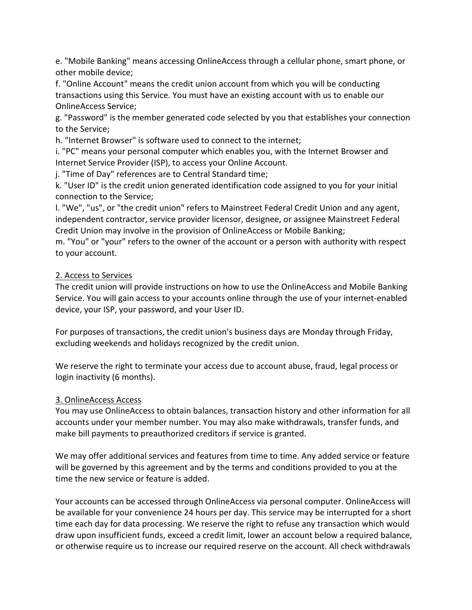e. "Mobile Banking" means accessing OnlineAccess through a cellular phone, smart phone, or other mobile device;

f. "Online Account" means the credit union account from which you will be conducting transactions using this Service. You must have an existing account with us to enable our OnlineAccess Service;

g. "Password" is the member generated code selected by you that establishes your connection to the Service;

h. "Internet Browser" is software used to connect to the internet;

i. "PC" means your personal computer which enables you, with the Internet Browser and Internet Service Provider (ISP), to access your Online Account.

j. "Time of Day" references are to Central Standard time;

k. "User ID" is the credit union generated identification code assigned to you for your initial connection to the Service;

l. "We", "us", or "the credit union" refers to Mainstreet Federal Credit Union and any agent, independent contractor, service provider licensor, designee, or assignee Mainstreet Federal Credit Union may involve in the provision of OnlineAccess or Mobile Banking;

m. "You" or "your" refers to the owner of the account or a person with authority with respect to your account.

# 2. Access to Services

The credit union will provide instructions on how to use the OnlineAccess and Mobile Banking Service. You will gain access to your accounts online through the use of your internet-enabled device, your ISP, your password, and your User ID.

For purposes of transactions, the credit union's business days are Monday through Friday, excluding weekends and holidays recognized by the credit union.

We reserve the right to terminate your access due to account abuse, fraud, legal process or login inactivity (6 months).

# 3. OnlineAccess Access

You may use OnlineAccess to obtain balances, transaction history and other information for all accounts under your member number. You may also make withdrawals, transfer funds, and make bill payments to preauthorized creditors if service is granted.

We may offer additional services and features from time to time. Any added service or feature will be governed by this agreement and by the terms and conditions provided to you at the time the new service or feature is added.

Your accounts can be accessed through OnlineAccess via personal computer. OnlineAccess will be available for your convenience 24 hours per day. This service may be interrupted for a short time each day for data processing. We reserve the right to refuse any transaction which would draw upon insufficient funds, exceed a credit limit, lower an account below a required balance, or otherwise require us to increase our required reserve on the account. All check withdrawals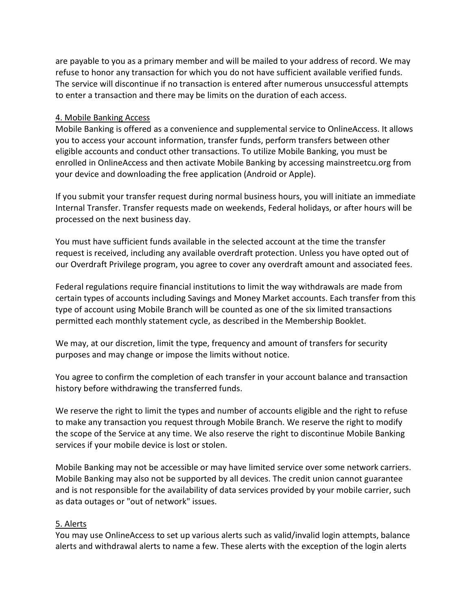are payable to you as a primary member and will be mailed to your address of record. We may refuse to honor any transaction for which you do not have sufficient available verified funds. The service will discontinue if no transaction is entered after numerous unsuccessful attempts to enter a transaction and there may be limits on the duration of each access.

#### 4. Mobile Banking Access

Mobile Banking is offered as a convenience and supplemental service to OnlineAccess. It allows you to access your account information, transfer funds, perform transfers between other eligible accounts and conduct other transactions. To utilize Mobile Banking, you must be enrolled in OnlineAccess and then activate Mobile Banking by accessing mainstreetcu.org from your device and downloading the free application (Android or Apple).

If you submit your transfer request during normal business hours, you will initiate an immediate Internal Transfer. Transfer requests made on weekends, Federal holidays, or after hours will be processed on the next business day.

You must have sufficient funds available in the selected account at the time the transfer request is received, including any available overdraft protection. Unless you have opted out of our Overdraft Privilege program, you agree to cover any overdraft amount and associated fees.

Federal regulations require financial institutions to limit the way withdrawals are made from certain types of accounts including Savings and Money Market accounts. Each transfer from this type of account using Mobile Branch will be counted as one of the six limited transactions permitted each monthly statement cycle, as described in the Membership Booklet.

We may, at our discretion, limit the type, frequency and amount of transfers for security purposes and may change or impose the limits without notice.

You agree to confirm the completion of each transfer in your account balance and transaction history before withdrawing the transferred funds.

We reserve the right to limit the types and number of accounts eligible and the right to refuse to make any transaction you request through Mobile Branch. We reserve the right to modify the scope of the Service at any time. We also reserve the right to discontinue Mobile Banking services if your mobile device is lost or stolen.

Mobile Banking may not be accessible or may have limited service over some network carriers. Mobile Banking may also not be supported by all devices. The credit union cannot guarantee and is not responsible for the availability of data services provided by your mobile carrier, such as data outages or "out of network" issues.

## 5. Alerts

You may use OnlineAccess to set up various alerts such as valid/invalid login attempts, balance alerts and withdrawal alerts to name a few. These alerts with the exception of the login alerts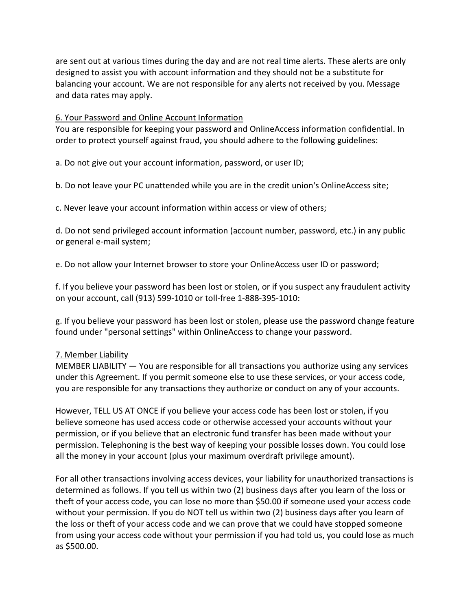are sent out at various times during the day and are not real time alerts. These alerts are only designed to assist you with account information and they should not be a substitute for balancing your account. We are not responsible for any alerts not received by you. Message and data rates may apply.

## 6. Your Password and Online Account Information

You are responsible for keeping your password and OnlineAccess information confidential. In order to protect yourself against fraud, you should adhere to the following guidelines:

a. Do not give out your account information, password, or user ID;

b. Do not leave your PC unattended while you are in the credit union's OnlineAccess site;

c. Never leave your account information within access or view of others;

d. Do not send privileged account information (account number, password, etc.) in any public or general e-mail system;

e. Do not allow your Internet browser to store your OnlineAccess user ID or password;

f. If you believe your password has been lost or stolen, or if you suspect any fraudulent activity on your account, call (913) 599-1010 or toll-free 1-888-395-1010:

g. If you believe your password has been lost or stolen, please use the password change feature found under "personal settings" within OnlineAccess to change your password.

## 7. Member Liability

MEMBER LIABILITY — You are responsible for all transactions you authorize using any services under this Agreement. If you permit someone else to use these services, or your access code, you are responsible for any transactions they authorize or conduct on any of your accounts.

However, TELL US AT ONCE if you believe your access code has been lost or stolen, if you believe someone has used access code or otherwise accessed your accounts without your permission, or if you believe that an electronic fund transfer has been made without your permission. Telephoning is the best way of keeping your possible losses down. You could lose all the money in your account (plus your maximum overdraft privilege amount).

For all other transactions involving access devices, your liability for unauthorized transactions is determined as follows. If you tell us within two (2) business days after you learn of the loss or theft of your access code, you can lose no more than \$50.00 if someone used your access code without your permission. If you do NOT tell us within two (2) business days after you learn of the loss or theft of your access code and we can prove that we could have stopped someone from using your access code without your permission if you had told us, you could lose as much as \$500.00.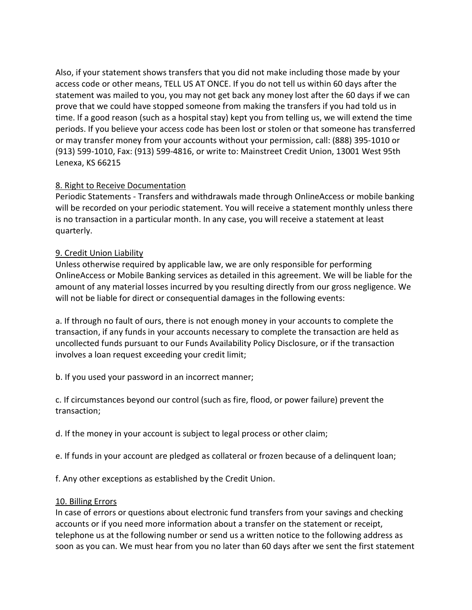Also, if your statement shows transfers that you did not make including those made by your access code or other means, TELL US AT ONCE. If you do not tell us within 60 days after the statement was mailed to you, you may not get back any money lost after the 60 days if we can prove that we could have stopped someone from making the transfers if you had told us in time. If a good reason (such as a hospital stay) kept you from telling us, we will extend the time periods. If you believe your access code has been lost or stolen or that someone has transferred or may transfer money from your accounts without your permission, call: (888) 395-1010 or (913) 599-1010, Fax: (913) 599-4816, or write to: Mainstreet Credit Union, 13001 West 95th Lenexa, KS 66215

# 8. Right to Receive Documentation

Periodic Statements - Transfers and withdrawals made through OnlineAccess or mobile banking will be recorded on your periodic statement. You will receive a statement monthly unless there is no transaction in a particular month. In any case, you will receive a statement at least quarterly.

# 9. Credit Union Liability

Unless otherwise required by applicable law, we are only responsible for performing OnlineAccess or Mobile Banking services as detailed in this agreement. We will be liable for the amount of any material losses incurred by you resulting directly from our gross negligence. We will not be liable for direct or consequential damages in the following events:

a. If through no fault of ours, there is not enough money in your accounts to complete the transaction, if any funds in your accounts necessary to complete the transaction are held as uncollected funds pursuant to our Funds Availability Policy Disclosure, or if the transaction involves a loan request exceeding your credit limit;

b. If you used your password in an incorrect manner;

c. If circumstances beyond our control (such as fire, flood, or power failure) prevent the transaction;

d. If the money in your account is subject to legal process or other claim;

e. If funds in your account are pledged as collateral or frozen because of a delinquent loan;

f. Any other exceptions as established by the Credit Union.

# 10. Billing Errors

In case of errors or questions about electronic fund transfers from your savings and checking accounts or if you need more information about a transfer on the statement or receipt, telephone us at the following number or send us a written notice to the following address as soon as you can. We must hear from you no later than 60 days after we sent the first statement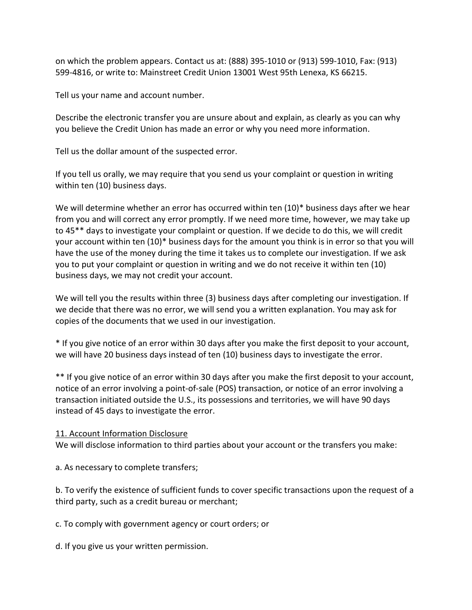on which the problem appears. Contact us at: (888) 395-1010 or (913) 599-1010, Fax: (913) 599-4816, or write to: Mainstreet Credit Union 13001 West 95th Lenexa, KS 66215.

Tell us your name and account number.

Describe the electronic transfer you are unsure about and explain, as clearly as you can why you believe the Credit Union has made an error or why you need more information.

Tell us the dollar amount of the suspected error.

If you tell us orally, we may require that you send us your complaint or question in writing within ten (10) business days.

We will determine whether an error has occurred within ten (10)\* business days after we hear from you and will correct any error promptly. If we need more time, however, we may take up to 45\*\* days to investigate your complaint or question. If we decide to do this, we will credit your account within ten (10)\* business days for the amount you think is in error so that you will have the use of the money during the time it takes us to complete our investigation. If we ask you to put your complaint or question in writing and we do not receive it within ten (10) business days, we may not credit your account.

We will tell you the results within three (3) business days after completing our investigation. If we decide that there was no error, we will send you a written explanation. You may ask for copies of the documents that we used in our investigation.

\* If you give notice of an error within 30 days after you make the first deposit to your account, we will have 20 business days instead of ten (10) business days to investigate the error.

\*\* If you give notice of an error within 30 days after you make the first deposit to your account, notice of an error involving a point-of-sale (POS) transaction, or notice of an error involving a transaction initiated outside the U.S., its possessions and territories, we will have 90 days instead of 45 days to investigate the error.

## 11. Account Information Disclosure

We will disclose information to third parties about your account or the transfers you make:

a. As necessary to complete transfers;

b. To verify the existence of sufficient funds to cover specific transactions upon the request of a third party, such as a credit bureau or merchant;

c. To comply with government agency or court orders; or

d. If you give us your written permission.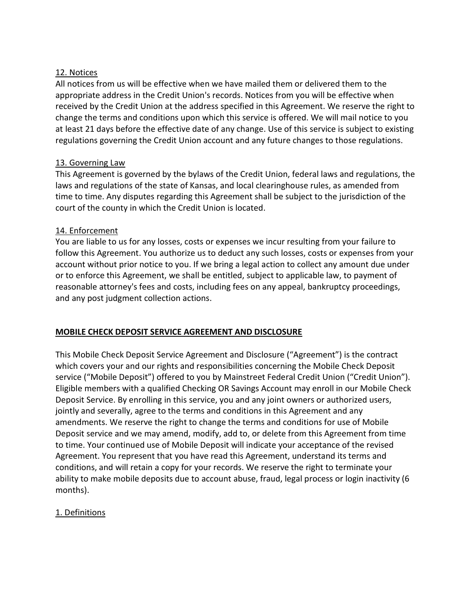## 12. Notices

All notices from us will be effective when we have mailed them or delivered them to the appropriate address in the Credit Union's records. Notices from you will be effective when received by the Credit Union at the address specified in this Agreement. We reserve the right to change the terms and conditions upon which this service is offered. We will mail notice to you at least 21 days before the effective date of any change. Use of this service is subject to existing regulations governing the Credit Union account and any future changes to those regulations.

# 13. Governing Law

This Agreement is governed by the bylaws of the Credit Union, federal laws and regulations, the laws and regulations of the state of Kansas, and local clearinghouse rules, as amended from time to time. Any disputes regarding this Agreement shall be subject to the jurisdiction of the court of the county in which the Credit Union is located.

## 14. Enforcement

You are liable to us for any losses, costs or expenses we incur resulting from your failure to follow this Agreement. You authorize us to deduct any such losses, costs or expenses from your account without prior notice to you. If we bring a legal action to collect any amount due under or to enforce this Agreement, we shall be entitled, subject to applicable law, to payment of reasonable attorney's fees and costs, including fees on any appeal, bankruptcy proceedings, and any post judgment collection actions.

# MOBILE CHECK DEPOSIT SERVICE AGREEMENT AND DISCLOSURE

This Mobile Check Deposit Service Agreement and Disclosure ("Agreement") is the contract which covers your and our rights and responsibilities concerning the Mobile Check Deposit service ("Mobile Deposit") offered to you by Mainstreet Federal Credit Union ("Credit Union"). Eligible members with a qualified Checking OR Savings Account may enroll in our Mobile Check Deposit Service. By enrolling in this service, you and any joint owners or authorized users, jointly and severally, agree to the terms and conditions in this Agreement and any amendments. We reserve the right to change the terms and conditions for use of Mobile Deposit service and we may amend, modify, add to, or delete from this Agreement from time to time. Your continued use of Mobile Deposit will indicate your acceptance of the revised Agreement. You represent that you have read this Agreement, understand its terms and conditions, and will retain a copy for your records. We reserve the right to terminate your ability to make mobile deposits due to account abuse, fraud, legal process or login inactivity (6 months).

# 1. Definitions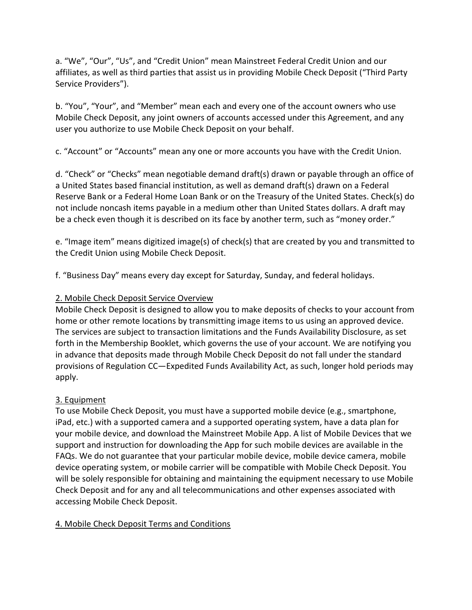a. "We", "Our", "Us", and "Credit Union" mean Mainstreet Federal Credit Union and our affiliates, as well as third parties that assist us in providing Mobile Check Deposit ("Third Party Service Providers").

b. "You", "Your", and "Member" mean each and every one of the account owners who use Mobile Check Deposit, any joint owners of accounts accessed under this Agreement, and any user you authorize to use Mobile Check Deposit on your behalf.

c. "Account" or "Accounts" mean any one or more accounts you have with the Credit Union.

d. "Check" or "Checks" mean negotiable demand draft(s) drawn or payable through an office of a United States based financial institution, as well as demand draft(s) drawn on a Federal Reserve Bank or a Federal Home Loan Bank or on the Treasury of the United States. Check(s) do not include noncash items payable in a medium other than United States dollars. A draft may be a check even though it is described on its face by another term, such as "money order."

e. "Image item" means digitized image(s) of check(s) that are created by you and transmitted to the Credit Union using Mobile Check Deposit.

f. "Business Day" means every day except for Saturday, Sunday, and federal holidays.

# 2. Mobile Check Deposit Service Overview

Mobile Check Deposit is designed to allow you to make deposits of checks to your account from home or other remote locations by transmitting image items to us using an approved device. The services are subject to transaction limitations and the Funds Availability Disclosure, as set forth in the Membership Booklet, which governs the use of your account. We are notifying you in advance that deposits made through Mobile Check Deposit do not fall under the standard provisions of Regulation CC—Expedited Funds Availability Act, as such, longer hold periods may apply.

# 3. Equipment

To use Mobile Check Deposit, you must have a supported mobile device (e.g., smartphone, iPad, etc.) with a supported camera and a supported operating system, have a data plan for your mobile device, and download the Mainstreet Mobile App. A list of Mobile Devices that we support and instruction for downloading the App for such mobile devices are available in the FAQs. We do not guarantee that your particular mobile device, mobile device camera, mobile device operating system, or mobile carrier will be compatible with Mobile Check Deposit. You will be solely responsible for obtaining and maintaining the equipment necessary to use Mobile Check Deposit and for any and all telecommunications and other expenses associated with accessing Mobile Check Deposit.

# 4. Mobile Check Deposit Terms and Conditions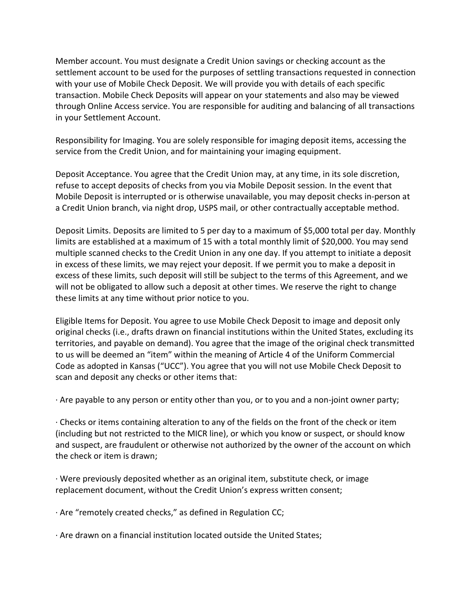Member account. You must designate a Credit Union savings or checking account as the settlement account to be used for the purposes of settling transactions requested in connection with your use of Mobile Check Deposit. We will provide you with details of each specific transaction. Mobile Check Deposits will appear on your statements and also may be viewed through Online Access service. You are responsible for auditing and balancing of all transactions in your Settlement Account.

Responsibility for Imaging. You are solely responsible for imaging deposit items, accessing the service from the Credit Union, and for maintaining your imaging equipment.

Deposit Acceptance. You agree that the Credit Union may, at any time, in its sole discretion, refuse to accept deposits of checks from you via Mobile Deposit session. In the event that Mobile Deposit is interrupted or is otherwise unavailable, you may deposit checks in-person at a Credit Union branch, via night drop, USPS mail, or other contractually acceptable method.

Deposit Limits. Deposits are limited to 5 per day to a maximum of \$5,000 total per day. Monthly limits are established at a maximum of 15 with a total monthly limit of \$20,000. You may send multiple scanned checks to the Credit Union in any one day. If you attempt to initiate a deposit in excess of these limits, we may reject your deposit. If we permit you to make a deposit in excess of these limits, such deposit will still be subject to the terms of this Agreement, and we will not be obligated to allow such a deposit at other times. We reserve the right to change these limits at any time without prior notice to you.

Eligible Items for Deposit. You agree to use Mobile Check Deposit to image and deposit only original checks (i.e., drafts drawn on financial institutions within the United States, excluding its territories, and payable on demand). You agree that the image of the original check transmitted to us will be deemed an "item" within the meaning of Article 4 of the Uniform Commercial Code as adopted in Kansas ("UCC"). You agree that you will not use Mobile Check Deposit to scan and deposit any checks or other items that:

· Are payable to any person or entity other than you, or to you and a non-joint owner party;

· Checks or items containing alteration to any of the fields on the front of the check or item (including but not restricted to the MICR line), or which you know or suspect, or should know and suspect, are fraudulent or otherwise not authorized by the owner of the account on which the check or item is drawn;

· Were previously deposited whether as an original item, substitute check, or image replacement document, without the Credit Union's express written consent;

· Are "remotely created checks," as defined in Regulation CC;

· Are drawn on a financial institution located outside the United States;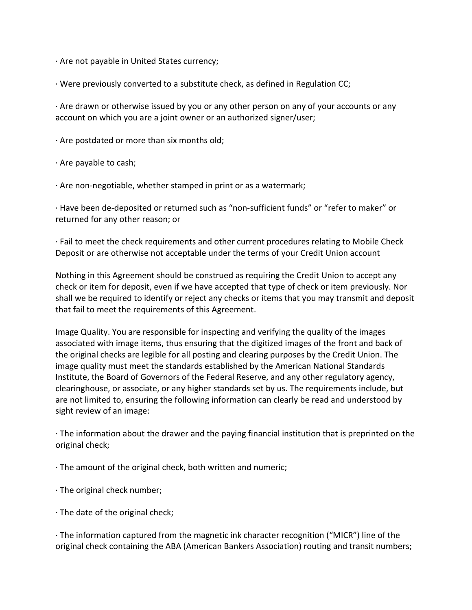· Are not payable in United States currency;

· Were previously converted to a substitute check, as defined in Regulation CC;

· Are drawn or otherwise issued by you or any other person on any of your accounts or any account on which you are a joint owner or an authorized signer/user;

· Are postdated or more than six months old;

· Are payable to cash;

· Are non-negotiable, whether stamped in print or as a watermark;

· Have been de-deposited or returned such as "non-sufficient funds" or "refer to maker" or returned for any other reason; or

· Fail to meet the check requirements and other current procedures relating to Mobile Check Deposit or are otherwise not acceptable under the terms of your Credit Union account

Nothing in this Agreement should be construed as requiring the Credit Union to accept any check or item for deposit, even if we have accepted that type of check or item previously. Nor shall we be required to identify or reject any checks or items that you may transmit and deposit that fail to meet the requirements of this Agreement.

Image Quality. You are responsible for inspecting and verifying the quality of the images associated with image items, thus ensuring that the digitized images of the front and back of the original checks are legible for all posting and clearing purposes by the Credit Union. The image quality must meet the standards established by the American National Standards Institute, the Board of Governors of the Federal Reserve, and any other regulatory agency, clearinghouse, or associate, or any higher standards set by us. The requirements include, but are not limited to, ensuring the following information can clearly be read and understood by sight review of an image:

· The information about the drawer and the paying financial institution that is preprinted on the original check;

· The amount of the original check, both written and numeric;

· The original check number;

· The date of the original check;

· The information captured from the magnetic ink character recognition ("MICR") line of the original check containing the ABA (American Bankers Association) routing and transit numbers;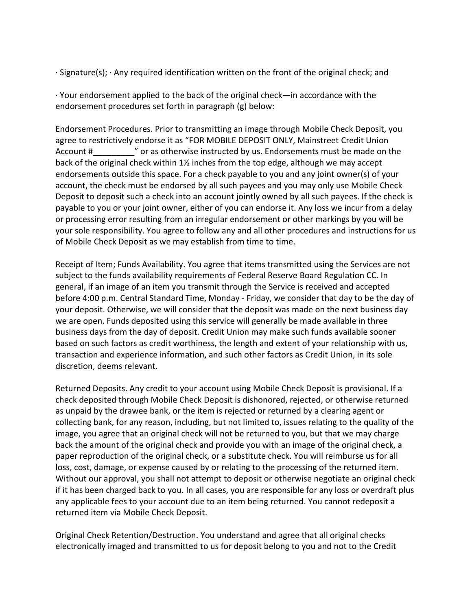· Signature(s); · Any required identification written on the front of the original check; and

· Your endorsement applied to the back of the original check—in accordance with the endorsement procedures set forth in paragraph (g) below:

Endorsement Procedures. Prior to transmitting an image through Mobile Check Deposit, you agree to restrictively endorse it as "FOR MOBILE DEPOSIT ONLY, Mainstreet Credit Union Account #\_\_\_\_\_\_\_\_\_" or as otherwise instructed by us. Endorsements must be made on the back of the original check within 1½ inches from the top edge, although we may accept endorsements outside this space. For a check payable to you and any joint owner(s) of your account, the check must be endorsed by all such payees and you may only use Mobile Check Deposit to deposit such a check into an account jointly owned by all such payees. If the check is payable to you or your joint owner, either of you can endorse it. Any loss we incur from a delay or processing error resulting from an irregular endorsement or other markings by you will be your sole responsibility. You agree to follow any and all other procedures and instructions for us of Mobile Check Deposit as we may establish from time to time.

Receipt of Item; Funds Availability. You agree that items transmitted using the Services are not subject to the funds availability requirements of Federal Reserve Board Regulation CC. In general, if an image of an item you transmit through the Service is received and accepted before 4:00 p.m. Central Standard Time, Monday - Friday, we consider that day to be the day of your deposit. Otherwise, we will consider that the deposit was made on the next business day we are open. Funds deposited using this service will generally be made available in three business days from the day of deposit. Credit Union may make such funds available sooner based on such factors as credit worthiness, the length and extent of your relationship with us, transaction and experience information, and such other factors as Credit Union, in its sole discretion, deems relevant.

Returned Deposits. Any credit to your account using Mobile Check Deposit is provisional. If a check deposited through Mobile Check Deposit is dishonored, rejected, or otherwise returned as unpaid by the drawee bank, or the item is rejected or returned by a clearing agent or collecting bank, for any reason, including, but not limited to, issues relating to the quality of the image, you agree that an original check will not be returned to you, but that we may charge back the amount of the original check and provide you with an image of the original check, a paper reproduction of the original check, or a substitute check. You will reimburse us for all loss, cost, damage, or expense caused by or relating to the processing of the returned item. Without our approval, you shall not attempt to deposit or otherwise negotiate an original check if it has been charged back to you. In all cases, you are responsible for any loss or overdraft plus any applicable fees to your account due to an item being returned. You cannot redeposit a returned item via Mobile Check Deposit.

Original Check Retention/Destruction. You understand and agree that all original checks electronically imaged and transmitted to us for deposit belong to you and not to the Credit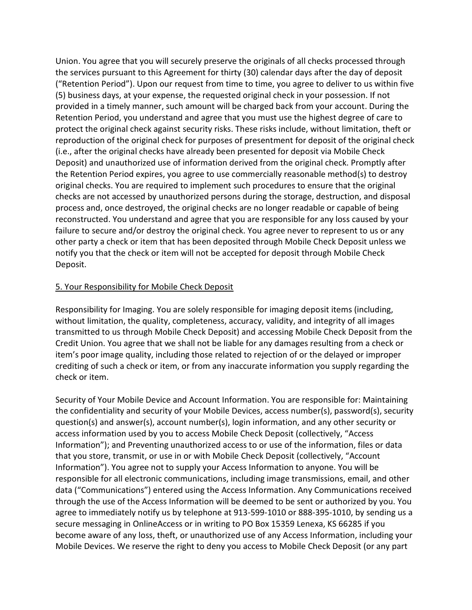Union. You agree that you will securely preserve the originals of all checks processed through the services pursuant to this Agreement for thirty (30) calendar days after the day of deposit ("Retention Period"). Upon our request from time to time, you agree to deliver to us within five (5) business days, at your expense, the requested original check in your possession. If not provided in a timely manner, such amount will be charged back from your account. During the Retention Period, you understand and agree that you must use the highest degree of care to protect the original check against security risks. These risks include, without limitation, theft or reproduction of the original check for purposes of presentment for deposit of the original check (i.e., after the original checks have already been presented for deposit via Mobile Check Deposit) and unauthorized use of information derived from the original check. Promptly after the Retention Period expires, you agree to use commercially reasonable method(s) to destroy original checks. You are required to implement such procedures to ensure that the original checks are not accessed by unauthorized persons during the storage, destruction, and disposal process and, once destroyed, the original checks are no longer readable or capable of being reconstructed. You understand and agree that you are responsible for any loss caused by your failure to secure and/or destroy the original check. You agree never to represent to us or any other party a check or item that has been deposited through Mobile Check Deposit unless we notify you that the check or item will not be accepted for deposit through Mobile Check Deposit.

## 5. Your Responsibility for Mobile Check Deposit

Responsibility for Imaging. You are solely responsible for imaging deposit items (including, without limitation, the quality, completeness, accuracy, validity, and integrity of all images transmitted to us through Mobile Check Deposit) and accessing Mobile Check Deposit from the Credit Union. You agree that we shall not be liable for any damages resulting from a check or item's poor image quality, including those related to rejection of or the delayed or improper crediting of such a check or item, or from any inaccurate information you supply regarding the check or item.

Security of Your Mobile Device and Account Information. You are responsible for: Maintaining the confidentiality and security of your Mobile Devices, access number(s), password(s), security question(s) and answer(s), account number(s), login information, and any other security or access information used by you to access Mobile Check Deposit (collectively, "Access Information"); and Preventing unauthorized access to or use of the information, files or data that you store, transmit, or use in or with Mobile Check Deposit (collectively, "Account Information"). You agree not to supply your Access Information to anyone. You will be responsible for all electronic communications, including image transmissions, email, and other data ("Communications") entered using the Access Information. Any Communications received through the use of the Access Information will be deemed to be sent or authorized by you. You agree to immediately notify us by telephone at 913-599-1010 or 888-395-1010, by sending us a secure messaging in OnlineAccess or in writing to PO Box 15359 Lenexa, KS 66285 if you become aware of any loss, theft, or unauthorized use of any Access Information, including your Mobile Devices. We reserve the right to deny you access to Mobile Check Deposit (or any part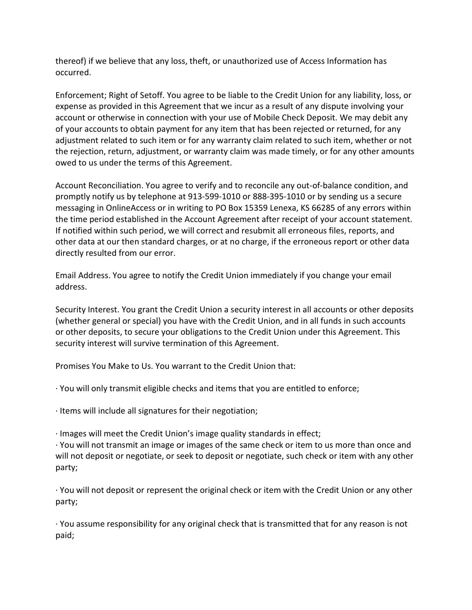thereof) if we believe that any loss, theft, or unauthorized use of Access Information has occurred.

Enforcement; Right of Setoff. You agree to be liable to the Credit Union for any liability, loss, or expense as provided in this Agreement that we incur as a result of any dispute involving your account or otherwise in connection with your use of Mobile Check Deposit. We may debit any of your accounts to obtain payment for any item that has been rejected or returned, for any adjustment related to such item or for any warranty claim related to such item, whether or not the rejection, return, adjustment, or warranty claim was made timely, or for any other amounts owed to us under the terms of this Agreement.

Account Reconciliation. You agree to verify and to reconcile any out-of-balance condition, and promptly notify us by telephone at 913-599-1010 or 888-395-1010 or by sending us a secure messaging in OnlineAccess or in writing to PO Box 15359 Lenexa, KS 66285 of any errors within the time period established in the Account Agreement after receipt of your account statement. If notified within such period, we will correct and resubmit all erroneous files, reports, and other data at our then standard charges, or at no charge, if the erroneous report or other data directly resulted from our error.

Email Address. You agree to notify the Credit Union immediately if you change your email address.

Security Interest. You grant the Credit Union a security interest in all accounts or other deposits (whether general or special) you have with the Credit Union, and in all funds in such accounts or other deposits, to secure your obligations to the Credit Union under this Agreement. This security interest will survive termination of this Agreement.

Promises You Make to Us. You warrant to the Credit Union that:

· You will only transmit eligible checks and items that you are entitled to enforce;

· Items will include all signatures for their negotiation;

· Images will meet the Credit Union's image quality standards in effect;

· You will not transmit an image or images of the same check or item to us more than once and will not deposit or negotiate, or seek to deposit or negotiate, such check or item with any other party;

· You will not deposit or represent the original check or item with the Credit Union or any other party;

· You assume responsibility for any original check that is transmitted that for any reason is not paid;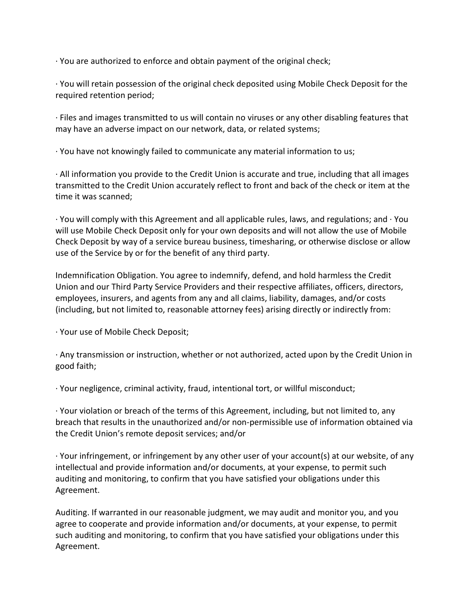· You are authorized to enforce and obtain payment of the original check;

· You will retain possession of the original check deposited using Mobile Check Deposit for the required retention period;

· Files and images transmitted to us will contain no viruses or any other disabling features that may have an adverse impact on our network, data, or related systems;

· You have not knowingly failed to communicate any material information to us;

· All information you provide to the Credit Union is accurate and true, including that all images transmitted to the Credit Union accurately reflect to front and back of the check or item at the time it was scanned;

 $\cdot$  You will comply with this Agreement and all applicable rules, laws, and regulations; and  $\cdot$  You will use Mobile Check Deposit only for your own deposits and will not allow the use of Mobile Check Deposit by way of a service bureau business, timesharing, or otherwise disclose or allow use of the Service by or for the benefit of any third party.

Indemnification Obligation. You agree to indemnify, defend, and hold harmless the Credit Union and our Third Party Service Providers and their respective affiliates, officers, directors, employees, insurers, and agents from any and all claims, liability, damages, and/or costs (including, but not limited to, reasonable attorney fees) arising directly or indirectly from:

· Your use of Mobile Check Deposit;

· Any transmission or instruction, whether or not authorized, acted upon by the Credit Union in good faith;

· Your negligence, criminal activity, fraud, intentional tort, or willful misconduct;

· Your violation or breach of the terms of this Agreement, including, but not limited to, any breach that results in the unauthorized and/or non-permissible use of information obtained via the Credit Union's remote deposit services; and/or

· Your infringement, or infringement by any other user of your account(s) at our website, of any intellectual and provide information and/or documents, at your expense, to permit such auditing and monitoring, to confirm that you have satisfied your obligations under this Agreement.

Auditing. If warranted in our reasonable judgment, we may audit and monitor you, and you agree to cooperate and provide information and/or documents, at your expense, to permit such auditing and monitoring, to confirm that you have satisfied your obligations under this Agreement.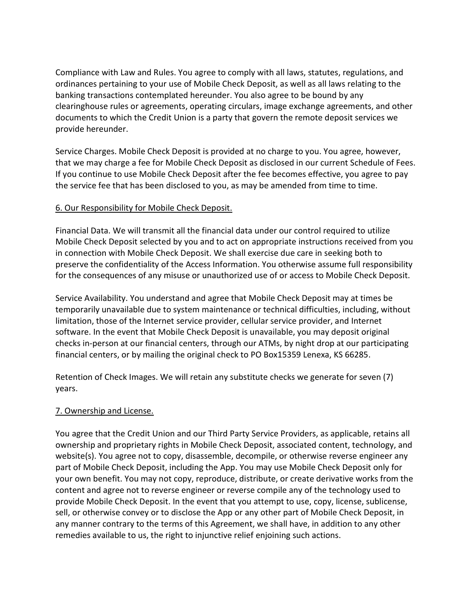Compliance with Law and Rules. You agree to comply with all laws, statutes, regulations, and ordinances pertaining to your use of Mobile Check Deposit, as well as all laws relating to the banking transactions contemplated hereunder. You also agree to be bound by any clearinghouse rules or agreements, operating circulars, image exchange agreements, and other documents to which the Credit Union is a party that govern the remote deposit services we provide hereunder.

Service Charges. Mobile Check Deposit is provided at no charge to you. You agree, however, that we may charge a fee for Mobile Check Deposit as disclosed in our current Schedule of Fees. If you continue to use Mobile Check Deposit after the fee becomes effective, you agree to pay the service fee that has been disclosed to you, as may be amended from time to time.

# 6. Our Responsibility for Mobile Check Deposit.

Financial Data. We will transmit all the financial data under our control required to utilize Mobile Check Deposit selected by you and to act on appropriate instructions received from you in connection with Mobile Check Deposit. We shall exercise due care in seeking both to preserve the confidentiality of the Access Information. You otherwise assume full responsibility for the consequences of any misuse or unauthorized use of or access to Mobile Check Deposit.

Service Availability. You understand and agree that Mobile Check Deposit may at times be temporarily unavailable due to system maintenance or technical difficulties, including, without limitation, those of the Internet service provider, cellular service provider, and Internet software. In the event that Mobile Check Deposit is unavailable, you may deposit original checks in-person at our financial centers, through our ATMs, by night drop at our participating financial centers, or by mailing the original check to PO Box15359 Lenexa, KS 66285.

Retention of Check Images. We will retain any substitute checks we generate for seven (7) years.

# 7. Ownership and License.

You agree that the Credit Union and our Third Party Service Providers, as applicable, retains all ownership and proprietary rights in Mobile Check Deposit, associated content, technology, and website(s). You agree not to copy, disassemble, decompile, or otherwise reverse engineer any part of Mobile Check Deposit, including the App. You may use Mobile Check Deposit only for your own benefit. You may not copy, reproduce, distribute, or create derivative works from the content and agree not to reverse engineer or reverse compile any of the technology used to provide Mobile Check Deposit. In the event that you attempt to use, copy, license, sublicense, sell, or otherwise convey or to disclose the App or any other part of Mobile Check Deposit, in any manner contrary to the terms of this Agreement, we shall have, in addition to any other remedies available to us, the right to injunctive relief enjoining such actions.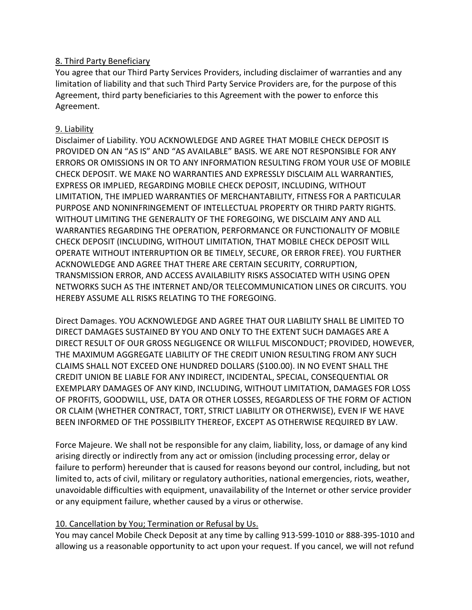## 8. Third Party Beneficiary

You agree that our Third Party Services Providers, including disclaimer of warranties and any limitation of liability and that such Third Party Service Providers are, for the purpose of this Agreement, third party beneficiaries to this Agreement with the power to enforce this Agreement.

## 9. Liability

Disclaimer of Liability. YOU ACKNOWLEDGE AND AGREE THAT MOBILE CHECK DEPOSIT IS PROVIDED ON AN "AS IS" AND "AS AVAILABLE" BASIS. WE ARE NOT RESPONSIBLE FOR ANY ERRORS OR OMISSIONS IN OR TO ANY INFORMATION RESULTING FROM YOUR USE OF MOBILE CHECK DEPOSIT. WE MAKE NO WARRANTIES AND EXPRESSLY DISCLAIM ALL WARRANTIES, EXPRESS OR IMPLIED, REGARDING MOBILE CHECK DEPOSIT, INCLUDING, WITHOUT LIMITATION, THE IMPLIED WARRANTIES OF MERCHANTABILITY, FITNESS FOR A PARTICULAR PURPOSE AND NONINFRINGEMENT OF INTELLECTUAL PROPERTY OR THIRD PARTY RIGHTS. WITHOUT LIMITING THE GENERALITY OF THE FOREGOING, WE DISCLAIM ANY AND ALL WARRANTIES REGARDING THE OPERATION, PERFORMANCE OR FUNCTIONALITY OF MOBILE CHECK DEPOSIT (INCLUDING, WITHOUT LIMITATION, THAT MOBILE CHECK DEPOSIT WILL OPERATE WITHOUT INTERRUPTION OR BE TIMELY, SECURE, OR ERROR FREE). YOU FURTHER ACKNOWLEDGE AND AGREE THAT THERE ARE CERTAIN SECURITY, CORRUPTION, TRANSMISSION ERROR, AND ACCESS AVAILABILITY RISKS ASSOCIATED WITH USING OPEN NETWORKS SUCH AS THE INTERNET AND/OR TELECOMMUNICATION LINES OR CIRCUITS. YOU HEREBY ASSUME ALL RISKS RELATING TO THE FOREGOING.

Direct Damages. YOU ACKNOWLEDGE AND AGREE THAT OUR LIABILITY SHALL BE LIMITED TO DIRECT DAMAGES SUSTAINED BY YOU AND ONLY TO THE EXTENT SUCH DAMAGES ARE A DIRECT RESULT OF OUR GROSS NEGLIGENCE OR WILLFUL MISCONDUCT; PROVIDED, HOWEVER, THE MAXIMUM AGGREGATE LIABILITY OF THE CREDIT UNION RESULTING FROM ANY SUCH CLAIMS SHALL NOT EXCEED ONE HUNDRED DOLLARS (\$100.00). IN NO EVENT SHALL THE CREDIT UNION BE LIABLE FOR ANY INDIRECT, INCIDENTAL, SPECIAL, CONSEQUENTIAL OR EXEMPLARY DAMAGES OF ANY KIND, INCLUDING, WITHOUT LIMITATION, DAMAGES FOR LOSS OF PROFITS, GOODWILL, USE, DATA OR OTHER LOSSES, REGARDLESS OF THE FORM OF ACTION OR CLAIM (WHETHER CONTRACT, TORT, STRICT LIABILITY OR OTHERWISE), EVEN IF WE HAVE BEEN INFORMED OF THE POSSIBILITY THEREOF, EXCEPT AS OTHERWISE REQUIRED BY LAW.

Force Majeure. We shall not be responsible for any claim, liability, loss, or damage of any kind arising directly or indirectly from any act or omission (including processing error, delay or failure to perform) hereunder that is caused for reasons beyond our control, including, but not limited to, acts of civil, military or regulatory authorities, national emergencies, riots, weather, unavoidable difficulties with equipment, unavailability of the Internet or other service provider or any equipment failure, whether caused by a virus or otherwise.

# 10. Cancellation by You; Termination or Refusal by Us.

You may cancel Mobile Check Deposit at any time by calling 913-599-1010 or 888-395-1010 and allowing us a reasonable opportunity to act upon your request. If you cancel, we will not refund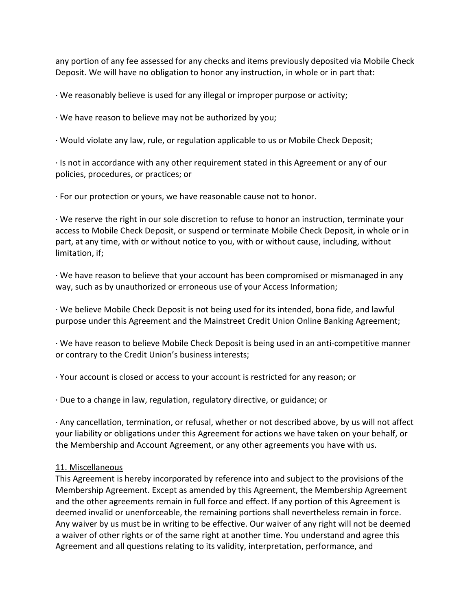any portion of any fee assessed for any checks and items previously deposited via Mobile Check Deposit. We will have no obligation to honor any instruction, in whole or in part that:

· We reasonably believe is used for any illegal or improper purpose or activity;

· We have reason to believe may not be authorized by you;

· Would violate any law, rule, or regulation applicable to us or Mobile Check Deposit;

· Is not in accordance with any other requirement stated in this Agreement or any of our policies, procedures, or practices; or

· For our protection or yours, we have reasonable cause not to honor.

· We reserve the right in our sole discretion to refuse to honor an instruction, terminate your access to Mobile Check Deposit, or suspend or terminate Mobile Check Deposit, in whole or in part, at any time, with or without notice to you, with or without cause, including, without limitation, if;

· We have reason to believe that your account has been compromised or mismanaged in any way, such as by unauthorized or erroneous use of your Access Information;

· We believe Mobile Check Deposit is not being used for its intended, bona fide, and lawful purpose under this Agreement and the Mainstreet Credit Union Online Banking Agreement;

· We have reason to believe Mobile Check Deposit is being used in an anti-competitive manner or contrary to the Credit Union's business interests;

· Your account is closed or access to your account is restricted for any reason; or

· Due to a change in law, regulation, regulatory directive, or guidance; or

· Any cancellation, termination, or refusal, whether or not described above, by us will not affect your liability or obligations under this Agreement for actions we have taken on your behalf, or the Membership and Account Agreement, or any other agreements you have with us.

## 11. Miscellaneous

This Agreement is hereby incorporated by reference into and subject to the provisions of the Membership Agreement. Except as amended by this Agreement, the Membership Agreement and the other agreements remain in full force and effect. If any portion of this Agreement is deemed invalid or unenforceable, the remaining portions shall nevertheless remain in force. Any waiver by us must be in writing to be effective. Our waiver of any right will not be deemed a waiver of other rights or of the same right at another time. You understand and agree this Agreement and all questions relating to its validity, interpretation, performance, and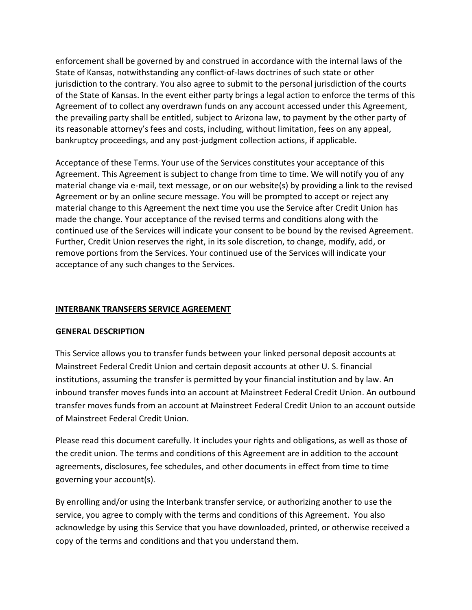enforcement shall be governed by and construed in accordance with the internal laws of the State of Kansas, notwithstanding any conflict-of-laws doctrines of such state or other jurisdiction to the contrary. You also agree to submit to the personal jurisdiction of the courts of the State of Kansas. In the event either party brings a legal action to enforce the terms of this Agreement of to collect any overdrawn funds on any account accessed under this Agreement, the prevailing party shall be entitled, subject to Arizona law, to payment by the other party of its reasonable attorney's fees and costs, including, without limitation, fees on any appeal, bankruptcy proceedings, and any post-judgment collection actions, if applicable.

Acceptance of these Terms. Your use of the Services constitutes your acceptance of this Agreement. This Agreement is subject to change from time to time. We will notify you of any material change via e-mail, text message, or on our website(s) by providing a link to the revised Agreement or by an online secure message. You will be prompted to accept or reject any material change to this Agreement the next time you use the Service after Credit Union has made the change. Your acceptance of the revised terms and conditions along with the continued use of the Services will indicate your consent to be bound by the revised Agreement. Further, Credit Union reserves the right, in its sole discretion, to change, modify, add, or remove portions from the Services. Your continued use of the Services will indicate your acceptance of any such changes to the Services.

# INTERBANK TRANSFERS SERVICE AGREEMENT

## GENERAL DESCRIPTION

This Service allows you to transfer funds between your linked personal deposit accounts at Mainstreet Federal Credit Union and certain deposit accounts at other U. S. financial institutions, assuming the transfer is permitted by your financial institution and by law. An inbound transfer moves funds into an account at Mainstreet Federal Credit Union. An outbound transfer moves funds from an account at Mainstreet Federal Credit Union to an account outside of Mainstreet Federal Credit Union.

Please read this document carefully. It includes your rights and obligations, as well as those of the credit union. The terms and conditions of this Agreement are in addition to the account agreements, disclosures, fee schedules, and other documents in effect from time to time governing your account(s).

By enrolling and/or using the Interbank transfer service, or authorizing another to use the service, you agree to comply with the terms and conditions of this Agreement. You also acknowledge by using this Service that you have downloaded, printed, or otherwise received a copy of the terms and conditions and that you understand them.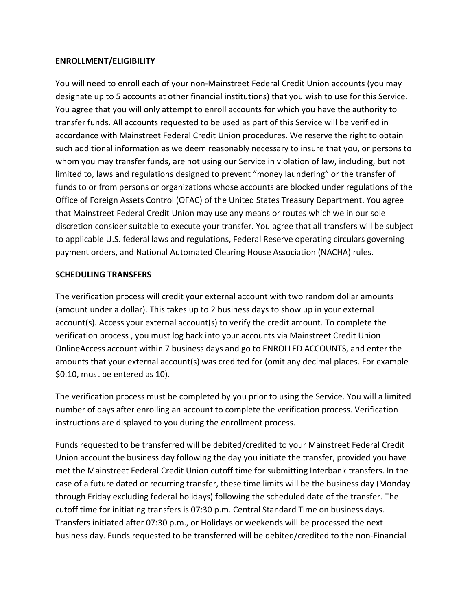## ENROLLMENT/ELIGIBILITY

You will need to enroll each of your non-Mainstreet Federal Credit Union accounts (you may designate up to 5 accounts at other financial institutions) that you wish to use for this Service. You agree that you will only attempt to enroll accounts for which you have the authority to transfer funds. All accounts requested to be used as part of this Service will be verified in accordance with Mainstreet Federal Credit Union procedures. We reserve the right to obtain such additional information as we deem reasonably necessary to insure that you, or persons to whom you may transfer funds, are not using our Service in violation of law, including, but not limited to, laws and regulations designed to prevent "money laundering" or the transfer of funds to or from persons or organizations whose accounts are blocked under regulations of the Office of Foreign Assets Control (OFAC) of the United States Treasury Department. You agree that Mainstreet Federal Credit Union may use any means or routes which we in our sole discretion consider suitable to execute your transfer. You agree that all transfers will be subject to applicable U.S. federal laws and regulations, Federal Reserve operating circulars governing payment orders, and National Automated Clearing House Association (NACHA) rules.

#### SCHEDULING TRANSFERS

The verification process will credit your external account with two random dollar amounts (amount under a dollar). This takes up to 2 business days to show up in your external account(s). Access your external account(s) to verify the credit amount. To complete the verification process , you must log back into your accounts via Mainstreet Credit Union OnlineAccess account within 7 business days and go to ENROLLED ACCOUNTS, and enter the amounts that your external account(s) was credited for (omit any decimal places. For example \$0.10, must be entered as 10).

The verification process must be completed by you prior to using the Service. You will a limited number of days after enrolling an account to complete the verification process. Verification instructions are displayed to you during the enrollment process.

Funds requested to be transferred will be debited/credited to your Mainstreet Federal Credit Union account the business day following the day you initiate the transfer, provided you have met the Mainstreet Federal Credit Union cutoff time for submitting Interbank transfers. In the case of a future dated or recurring transfer, these time limits will be the business day (Monday through Friday excluding federal holidays) following the scheduled date of the transfer. The cutoff time for initiating transfers is 07:30 p.m. Central Standard Time on business days. Transfers initiated after 07:30 p.m., or Holidays or weekends will be processed the next business day. Funds requested to be transferred will be debited/credited to the non-Financial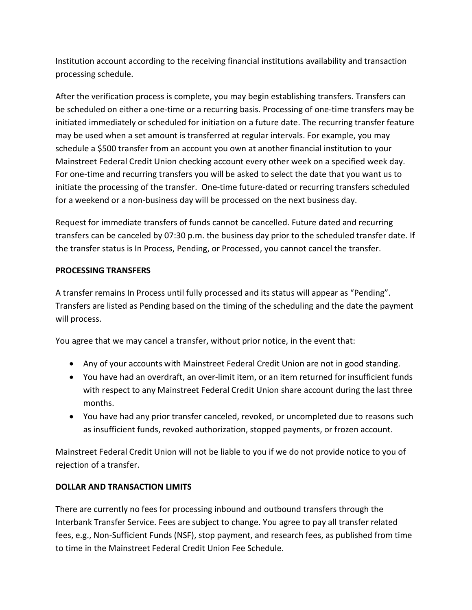Institution account according to the receiving financial institutions availability and transaction processing schedule.

After the verification process is complete, you may begin establishing transfers. Transfers can be scheduled on either a one-time or a recurring basis. Processing of one-time transfers may be initiated immediately or scheduled for initiation on a future date. The recurring transfer feature may be used when a set amount is transferred at regular intervals. For example, you may schedule a \$500 transfer from an account you own at another financial institution to your Mainstreet Federal Credit Union checking account every other week on a specified week day. For one-time and recurring transfers you will be asked to select the date that you want us to initiate the processing of the transfer. One-time future-dated or recurring transfers scheduled for a weekend or a non-business day will be processed on the next business day.

Request for immediate transfers of funds cannot be cancelled. Future dated and recurring transfers can be canceled by 07:30 p.m. the business day prior to the scheduled transfer date. If the transfer status is In Process, Pending, or Processed, you cannot cancel the transfer.

# PROCESSING TRANSFERS

A transfer remains In Process until fully processed and its status will appear as "Pending". Transfers are listed as Pending based on the timing of the scheduling and the date the payment will process.

You agree that we may cancel a transfer, without prior notice, in the event that:

- Any of your accounts with Mainstreet Federal Credit Union are not in good standing.
- You have had an overdraft, an over-limit item, or an item returned for insufficient funds with respect to any Mainstreet Federal Credit Union share account during the last three months.
- You have had any prior transfer canceled, revoked, or uncompleted due to reasons such as insufficient funds, revoked authorization, stopped payments, or frozen account.

Mainstreet Federal Credit Union will not be liable to you if we do not provide notice to you of rejection of a transfer.

# DOLLAR AND TRANSACTION LIMITS

There are currently no fees for processing inbound and outbound transfers through the Interbank Transfer Service. Fees are subject to change. You agree to pay all transfer related fees, e.g., Non-Sufficient Funds (NSF), stop payment, and research fees, as published from time to time in the Mainstreet Federal Credit Union Fee Schedule.